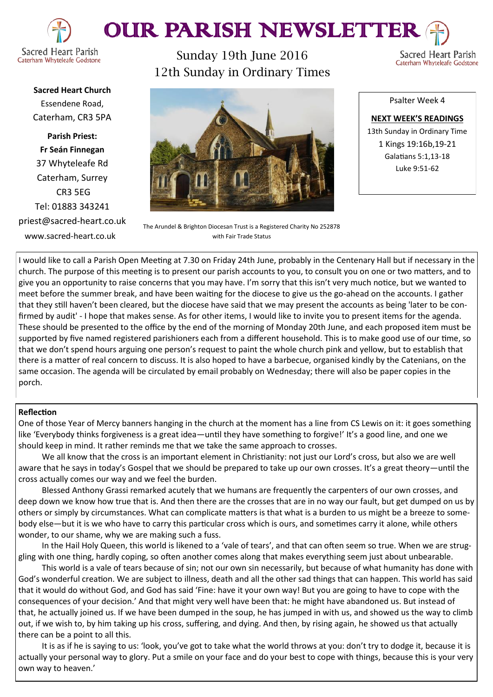

# OUR PARISH NEWSLETTER

Sunday 19th June 2016 12th Sunday in Ordinary Times

Sacred Heart Parish Caterham Whyteleafe Godstone

**Sacred Heart Church** Essendene Road, Caterham, CR3 5PA

**Parish Priest: Fr Seán Finnegan** 37 Whyteleafe Rd Caterham, Surrey CR3 5EG Tel: 01883 343241 priest@sacred-heart.co.uk www.sacred-heart.co.uk

The Arundel & Brighton Diocesan Trust is a Registered Charity No 252878 with Fair Trade Status

**NEXT WEEK'S READINGS** 13th Sunday in Ordinary Time 1 Kings 19:16b,19-21 Galatians 5:1,13-18 Luke 9:51-62

Psalter Week 4

I would like to call a Parish Open Meeting at 7.30 on Friday 24th June, probably in the Centenary Hall but if necessary in the church. The purpose of this meeting is to present our parish accounts to you, to consult you on one or two matters, and to give you an opportunity to raise concerns that you may have. I'm sorry that this isn't very much notice, but we wanted to meet before the summer break, and have been waiting for the diocese to give us the go-ahead on the accounts. I gather that they still haven't been cleared, but the diocese have said that we may present the accounts as being 'later to be confirmed by audit' - I hope that makes sense. As for other items, I would like to invite you to present items for the agenda. These should be presented to the office by the end of the morning of Monday 20th June, and each proposed item must be supported by five named registered parishioners each from a different household. This is to make good use of our time, so that we don't spend hours arguing one person's request to paint the whole church pink and yellow, but to establish that there is a matter of real concern to discuss. It is also hoped to have a barbecue, organised kindly by the Catenians, on the same occasion. The agenda will be circulated by email probably on Wednesday; there will also be paper copies in the porch.

#### **Reflection**

One of those Year of Mercy banners hanging in the church at the moment has a line from CS Lewis on it: it goes something like 'Everybody thinks forgiveness is a great idea—until they have something to forgive!' It's a good line, and one we should keep in mind. It rather reminds me that we take the same approach to crosses.

We all know that the cross is an important element in Christianity: not just our Lord's cross, but also we are well aware that he says in today's Gospel that we should be prepared to take up our own crosses. It's a great theory—until the cross actually comes our way and we feel the burden.

Blessed Anthony Grassi remarked acutely that we humans are frequently the carpenters of our own crosses, and deep down we know how true that is. And then there are the crosses that are in no way our fault, but get dumped on us by others or simply by circumstances. What can complicate matters is that what is a burden to us might be a breeze to somebody else—but it is we who have to carry this particular cross which is ours, and sometimes carry it alone, while others wonder, to our shame, why we are making such a fuss.

In the Hail Holy Queen, this world is likened to a 'vale of tears', and that can often seem so true. When we are struggling with one thing, hardly coping, so often another comes along that makes everything seem just about unbearable.

This world is a vale of tears because of sin; not our own sin necessarily, but because of what humanity has done with God's wonderful creation. We are subject to illness, death and all the other sad things that can happen. This world has said that it would do without God, and God has said 'Fine: have it your own way! But you are going to have to cope with the consequences of your decision.' And that might very well have been that: he might have abandoned us. But instead of that, he actually joined us. If we have been dumped in the soup, he has jumped in with us, and showed us the way to climb out, if we wish to, by him taking up his cross, suffering, and dying. And then, by rising again, he showed us that actually there can be a point to all this.

It is as if he is saying to us: 'look, you've got to take what the world throws at you: don't try to dodge it, because it is actually your personal way to glory. Put a smile on your face and do your best to cope with things, because this is your very own way to heaven.'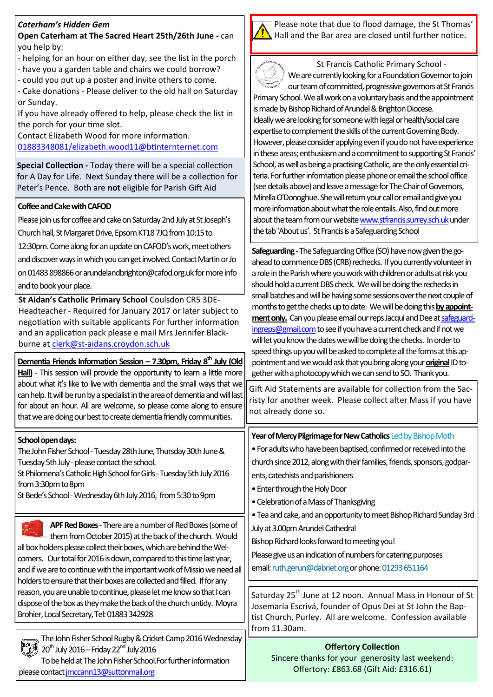# *Caterham's Hidden Gem*

### **Open Caterham at The Sacred Heart 25th/26th June -** can you help by:

- helping for an hour on either day, see the list in the porch - have you a garden table and chairs we could borrow?
- could you put up a poster and invite others to come.

- Cake donations - Please deliver to the old hall on Saturday or Sunday.

If you have already offered to help, please check the list in the porch for your time slot.

Contact Elizabeth Wood for more information. [01883348081/elizabeth.wood11@btinternternet.com](mailto:01883348081/elizabeth.wood11@btinternternet.com)

**Special Collection -** Today there will be a special collection for A Day for Life. Next Sunday there will be a collection for Peter's Pence. Both are **not** eligible for Parish Gift Aid

# **Coffee and Cake with CAFOD**

Please join us for coffee and cake on Saturday 2nd July at St Joseph's Church hall, St Margaret Drive, Epsom KT18 7JQ from 10:15 to

12:30pm. Come along for an update on CAFOD's work, meet others

and discover ways in which you can get involved. Contact Martin or Jo

on 01483 898866 or arundelandbrighton@cafod.org.uk for more info and to book your place.

**St Aidan's Catholic Primary School** Coulsdon CR5 3DE-Headteacher - Required for January 2017 or later subject to negotiation with suitable applicants For further information and an application pack please e mail Mrs Jennifer Blackburne at clerk@st-[aidans.croydon.sch.uk](mailto:clerk@st-aidans.croydon.sch.uk)

**Dementia Friends Information Session – 7.30pm, Friday 8th July (Old Hall)** - This session will provide the opportunity to learn a little more about what it's like to live with dementia and the small ways that we can help. It will be run by a specialist in the area of dementia and will last for about an hour. All are welcome, so please come along to ensure that we are doing our best to create dementia friendly communities.



To be held at The John Fisher School.For further information please contact imccann13@suttonmail.org





St Francis Catholic Primary School - We are currently looking for a Foundation Governor to join our team of committed, progressive governors at St Francis

Primary School. We all work on a voluntary basis and the appointment is made by Bishop Richard of Arundel & Brighton Diocese. Ideally we are looking for someone with legal or health/social care expertise to complement the skills of the current Governing Body. However, please consider applying even if you do not have experience in these areas; enthusiasm and a commitment to supporting St Francis' School, as well as being a practising Catholic, are the only essential criteria. For further information please phone or email the school office (see details above) and leave a message for The Chair of Governors, Mirella O'Donoghue. She will return your call or email and give you more information about what the role entails. Also, find out more about the team from our website [www.stfrancis.surrey.sch.uk](http://www.stfrancis.surrey.sch.uk) under the tab 'About us'. St Francis is a Safeguarding School

**Safeguarding** -The Safeguarding Office (SO) have now given the goahead to commence DBS (CRB) rechecks. If you currently volunteer in a role in the Parish where you work with children or adults at risk you should hold a current DBS check. We will be doing the rechecks in small batches and will be having some sessions over the next couple of months to get the checks up to date. We will be doing this **by appointment only.** Can you please email our reps Jacqui and Dee at [safeguard](mailto:safeguardingreps@gmail.com)[ingreps@gmail.com](mailto:safeguardingreps@gmail.com) to see if you have a current check and if not we will let you know the dates we will be doing the checks. In order to speed things up you will be asked to complete all the forms at this appointment and we would ask that you bring along your **original**ID to-

| <b>Offertory Collection</b>                      |  |  |  |
|--------------------------------------------------|--|--|--|
| Sincere thanks for your generosity last weekend: |  |  |  |
| Offertory: £863.68 (Gift Aid: £316.61)           |  |  |  |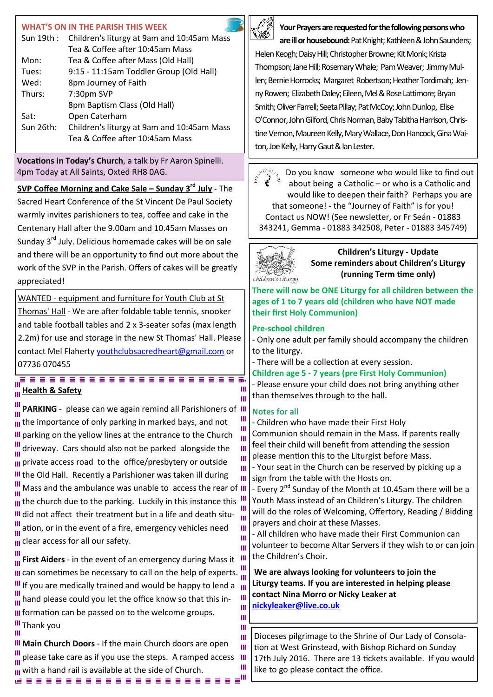### **WHAT'S ON IN THE PARISH THIS WEEK**

| Sun 19th : | Children's liturgy at 9am and 10:45am Mass |  |
|------------|--------------------------------------------|--|
|            | Tea & Coffee after 10:45am Mass            |  |
| Mon:       | Tea & Coffee after Mass (Old Hall)         |  |
| Tues:      | 9:15 - 11:15am Toddler Group (Old Hall)    |  |
| Wed:       | 8pm Journey of Faith                       |  |
| Thurs:     | 7:30pm SVP                                 |  |
|            | 8pm Baptism Class (Old Hall)               |  |
| Sat:       | Open Caterham                              |  |
| Sun 26th:  | Children's liturgy at 9am and 10:45am Mass |  |
|            | Tea & Coffee after 10:45am Mass            |  |
|            |                                            |  |

**Vocations in Today's Church**, a talk by Fr Aaron Spinelli. 4pm Today at All Saints, Oxted RH8 0AG.

**SVP Coffee Morning and Cake Sale – Sunday 3rd July** - The Sacred Heart Conference of the St Vincent De Paul Society warmly invites parishioners to tea, coffee and cake in the Centenary Hall after the 9.00am and 10.45am Masses on Sunday 3<sup>rd</sup> July. Delicious homemade cakes will be on sale and there will be an opportunity to find out more about the work of the SVP in the Parish. Offers of cakes will be greatly appreciated!

WANTED - equipment and furniture for Youth Club at St Thomas' Hall - We are after foldable table tennis, snooker and table football tables and 2 x 3-seater sofas (max length 2.2m) for use and storage in the new St Thomas' Hall. Please contact Mel Flaherty [youthclubsacredheart@gmail.com](mailto:youthclubsacredheart@gmail.com) or 07736 070455

-------

# **Health & Safety**

Ш

**PARKING** - please can we again remind all Parishioners of Ш III the importance of only parking in marked bays, and not Ш III parking on the yellow lines at the entrance to the Church Ш driveway. Cars should also not be parked alongside the Ш Ш III private access road to the office/presbytery or outside Ш III the Old Hall. Recently a Parishioner was taken ill during Ш  $\frac{1}{2}$ . Mass and the ambulance was unable to access the rear of III III the church due to the parking. Luckily in this instance this III did not affect their treatment but in a life and death situ-Ш ation, or in the event of a fire, emergency vehicles need Ш ш Ш III clear access for all our safety. Ш

**First Aiders** - in the event of an emergency during Mass it III III can sometimes be necessary to call on the help of experts. III If you are medically trained and would be happy to lend a  $\|$  $\frac{m}{\ln n}$  hand please could you let the office know so that this in-Ш  $\mathbf{m}$ III formation can be passed on to the welcome groups. Ш **III** Thank you Ш

**III Main Church Doors** - If the main Church doors are open Ш please take care as if you use the steps. A ramped access III III with a hand rail is available at the side of Church. M R R R R R R R R R R R R R R R R R



**Your Prayers are requested for the following persons who** 

**are ill or housebound:** Pat Knight; Kathleen & John Saunders; Helen Keogh; Daisy Hill; Christopher Browne; Kit Monk; Krista Thompson; Jane Hill; Rosemary Whale; Pam Weaver; Jimmy Mullen; Bernie Horrocks; Margaret Robertson; Heather Tordimah; Jenny Rowen; Elizabeth Daley; Eileen, Mel & Rose Lattimore; Bryan Smith; Oliver Farrell; Seeta Pillay; Pat McCoy; John Dunlop, Elise O'Connor, John Gilford, Chris Norman, Baby Tabitha Harrison, Christine Vernon, Maureen Kelly, Mary Wallace, Don Hancock, Gina Waiton, Joe Kelly, Harry Gaut & Ian Lester.

Do you know someone who would like to find out about being a Catholic – or who is a Catholic and would like to deepen their faith? Perhaps you are that someone! - the "Journey of Faith" is for you! Contact us NOW! (See newsletter, or Fr Seán - 01883 343241, Gemma - 01883 342508, Peter - 01883 345749)



**Children's Liturgy - Update Some reminders about Children's Liturgy (running Term time only)**

**There will now be ONE Liturgy for all children between the ages of 1 to 7 years old (children who have NOT made their first Holy Communion)**

#### **Pre-school children**

- Only one adult per family should accompany the children to the liturgy.

- There will be a collection at every session.

**Children age 5 - 7 years (pre First Holy Communion)** - Please ensure your child does not bring anything other than themselves through to the hall.

# **Notes for all**

Ш Ш

Ш  $\blacksquare$ 

Ш

**-** Children who have made their First Holy Communion should remain in the Mass. If parents really feel their child will benefit from attending the session please mention this to the Liturgist before Mass.

- Your seat in the Church can be reserved by picking up a sign from the table with the Hosts on.

- Every 2<sup>nd</sup> Sunday of the Month at 10.45am there will be a Youth Mass instead of an Children's Liturgy. The children will do the roles of Welcoming, Offertory, Reading / Bidding prayers and choir at these Masses.

- All children who have made their First Communion can volunteer to become Altar Servers if they wish to or can join the Children's Choir.

**We are always looking for volunteers to join the Liturgy teams. If you are interested in helping please contact Nina Morro or Nicky Leaker at [nickyleaker@live.co.uk](mailto:nickyleaker@live.co.uk)**

Dioceses pilgrimage to the Shrine of Our Lady of Consolation at West Grinstead, with Bishop Richard on Sunday 17th July 2016. There are 13 tickets available. If you would like to go please contact the office.